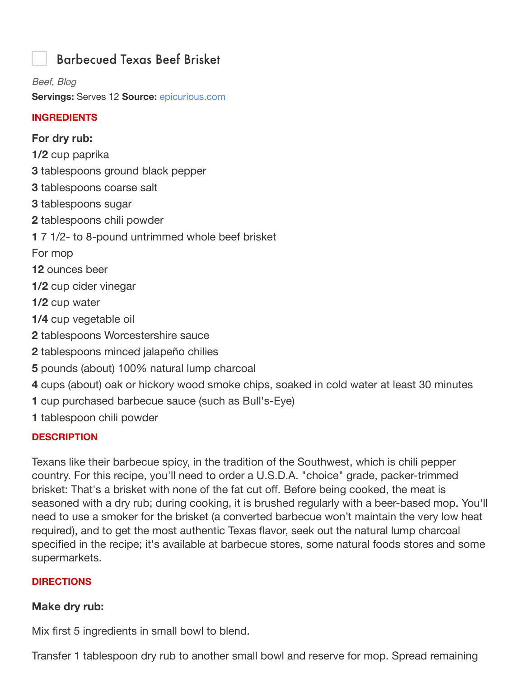# Barbecued Texas Beef Brisket

*Beef, Blog* **Servings:** Serves 12 **Source:** epicurious.com

#### **INGREDIENTS**

### **For dry rub:**

- **1/2** cup paprika
- **3** tablespoons ground black pepper
- **3** tablespoons coarse salt
- **3** tablespoons sugar
- **2** tablespoons chili powder
- **1** 7 1/2- to 8-pound untrimmed whole beef brisket

For mop

- **12** ounces beer
- **1/2** cup cider vinegar
- **1/2** cup water
- **1/4** cup vegetable oil
- **2** tablespoons Worcestershire sauce
- **2** tablespoons minced jalapeño chilies
- **5** pounds (about) 100% natural lump charcoal
- **4** cups (about) oak or hickory wood smoke chips, soaked in cold water at least 30 minutes
- **1** cup purchased barbecue sauce (such as Bull's-Eye)
- **1** tablespoon chili powder

### **DESCRIPTION**

Texans like their barbecue spicy, in the tradition of the Southwest, which is chili pepper country. For this recipe, you'll need to order a U.S.D.A. "choice" grade, packer-trimmed brisket: That's a brisket with none of the fat cut off. Before being cooked, the meat is seasoned with a dry rub; during cooking, it is brushed regularly with a beer-based mop. You'll need to use a smoker for the brisket (a converted barbecue won't maintain the very low heat required), and to get the most authentic Texas flavor, seek out the natural lump charcoal specified in the recipe; it's available at barbecue stores, some natural foods stores and some supermarkets.

### **DIRECTIONS**

### **Make dry rub:**

Mix first 5 ingredients in small bowl to blend.

Transfer 1 tablespoon dry rub to another small bowl and reserve for mop. Spread remaining